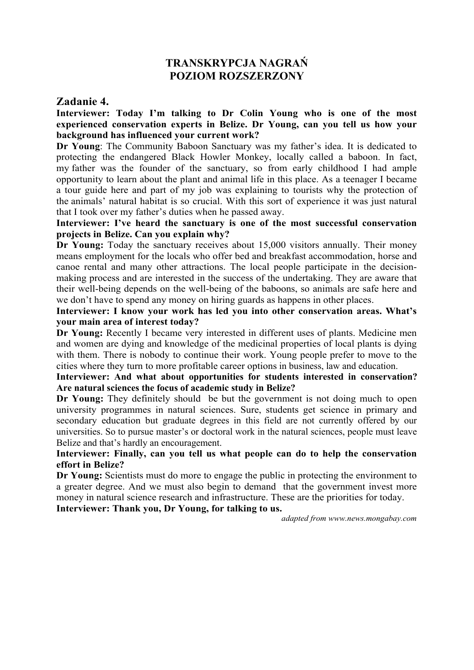# **TRANSKRYPCJA NAGRAŃ POZIOM ROZSZERZONY**

### **Zadanie 4.**

**Interviewer: Today I'm talking to Dr Colin Young who is one of the most experienced conservation experts in Belize. Dr Young, can you tell us how your background has influenced your current work?**

**Dr Young**: The Community Baboon Sanctuary was my father's idea. It is dedicated to protecting the endangered Black Howler Monkey, locally called a baboon. In fact, my father was the founder of the sanctuary, so from early childhood I had ample opportunity to learn about the plant and animal life in this place. As a teenager I became a tour guide here and part of my job was explaining to tourists why the protection of the animals' natural habitat is so crucial. With this sort of experience it was just natural that I took over my father's duties when he passed away.

**Interviewer: I've heard the sanctuary is one of the most successful conservation projects in Belize. Can you explain why?**

**Dr Young:** Today the sanctuary receives about 15,000 visitors annually. Their money means employment for the locals who offer bed and breakfast accommodation, horse and canoe rental and many other attractions. The local people participate in the decisionmaking process and are interested in the success of the undertaking. They are aware that their well-being depends on the well-being of the baboons, so animals are safe here and we don't have to spend any money on hiring guards as happens in other places.

**Interviewer: I know your work has led you into other conservation areas. What's your main area of interest today?**

**Dr Young:** Recently I became very interested in different uses of plants. Medicine men and women are dying and knowledge of the medicinal properties of local plants is dying with them. There is nobody to continue their work. Young people prefer to move to the cities where they turn to more profitable career options in business, law and education.

#### **Interviewer: And what about opportunities for students interested in conservation? Are natural sciences the focus of academic study in Belize?**

**Dr Young:** They definitely should be but the government is not doing much to open university programmes in natural sciences. Sure, students get science in primary and secondary education but graduate degrees in this field are not currently offered by our universities. So to pursue master's or doctoral work in the natural sciences, people must leave Belize and that's hardly an encouragement.

### **Interviewer: Finally, can you tell us what people can do to help the conservation effort in Belize?**

**Dr Young:** Scientists must do more to engage the public in protecting the environment to a greater degree. And we must also begin to demand that the government invest more money in natural science research and infrastructure. These are the priorities for today.

# **Interviewer: Thank you, Dr Young, for talking to us.**

*adapted from www.news.mongabay.com*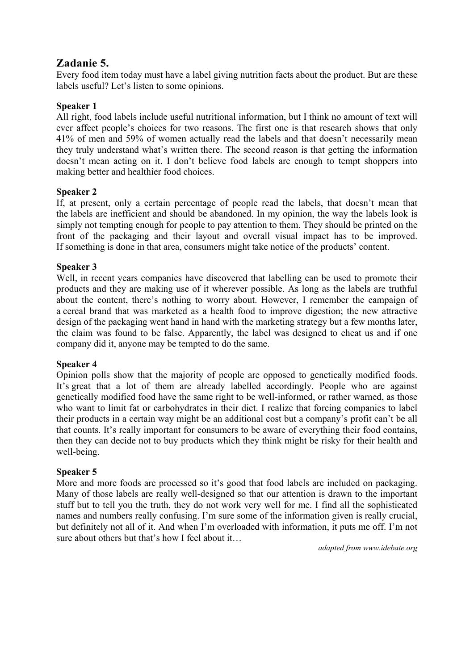# **Zadanie 5.**

Every food item today must have a label giving nutrition facts about the product. But are these labels useful? Let's listen to some opinions.

# **Speaker 1**

All right, food labels include useful nutritional information, but I think no amount of text will ever affect people's choices for two reasons. The first one is that research shows that only 41% of men and 59% of women actually read the labels and that doesn't necessarily mean they truly understand what's written there. The second reason is that getting the information doesn't mean acting on it. I don't believe food labels are enough to tempt shoppers into making better and healthier food choices.

# **Speaker 2**

If, at present, only a certain percentage of people read the labels, that doesn't mean that the labels are inefficient and should be abandoned. In my opinion, the way the labels look is simply not tempting enough for people to pay attention to them. They should be printed on the front of the packaging and their layout and overall visual impact has to be improved. If something is done in that area, consumers might take notice of the products' content.

# **Speaker 3**

Well, in recent years companies have discovered that labelling can be used to promote their products and they are making use of it wherever possible. As long as the labels are truthful about the content, there's nothing to worry about. However, I remember the campaign of a cereal brand that was marketed as a health food to improve digestion; the new attractive design of the packaging went hand in hand with the marketing strategy but a few months later, the claim was found to be false. Apparently, the label was designed to cheat us and if one company did it, anyone may be tempted to do the same.

#### **Speaker 4**

Opinion polls show that the majority of people are opposed to genetically modified foods. It's great that a lot of them are already labelled accordingly. People who are against genetically modified food have the same right to be well-informed, or rather warned, as those who want to limit fat or carbohydrates in their diet. I realize that forcing companies to label their products in a certain way might be an additional cost but a company's profit can't be all that counts. It's really important for consumers to be aware of everything their food contains, then they can decide not to buy products which they think might be risky for their health and well-being.

# **Speaker 5**

More and more foods are processed so it's good that food labels are included on packaging. Many of those labels are really well-designed so that our attention is drawn to the important stuff but to tell you the truth, they do not work very well for me. I find all the sophisticated names and numbers really confusing. I'm sure some of the information given is really crucial, but definitely not all of it. And when I'm overloaded with information, it puts me off. I'm not sure about others but that's how I feel about it…

*adapted from www.idebate.org*